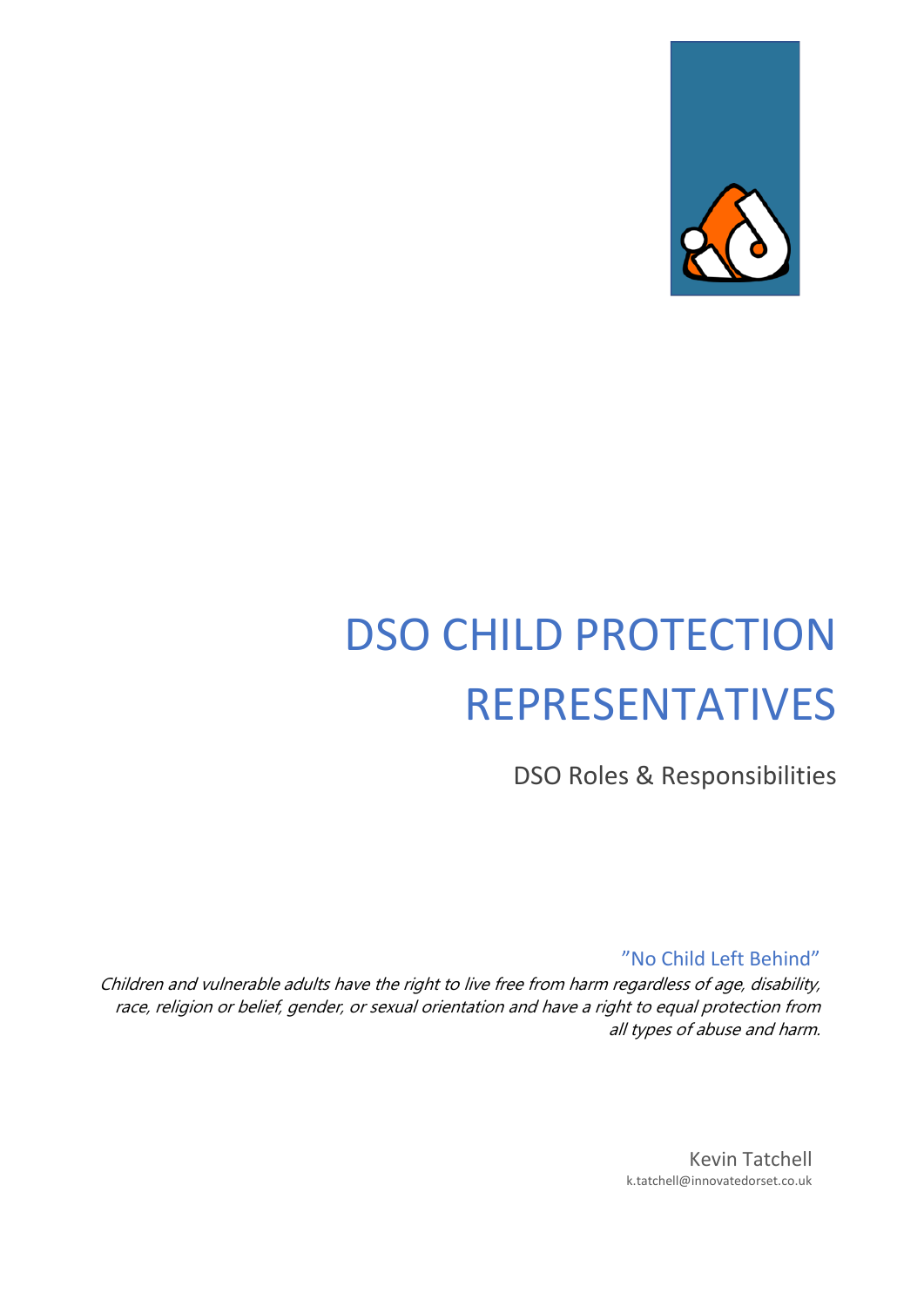

# DSO CHILD PROTECTION REPRESENTATIVES

DSO Roles & Responsibilities

"No Child Left Behind"

Children and vulnerable adults have the right to live free from harm regardless of age, disability, race, religion or belief, gender, or sexual orientation and have a right to equal protection from all types of abuse and harm.

> Kevin Tatchell k.tatchell@innovatedorset.co.uk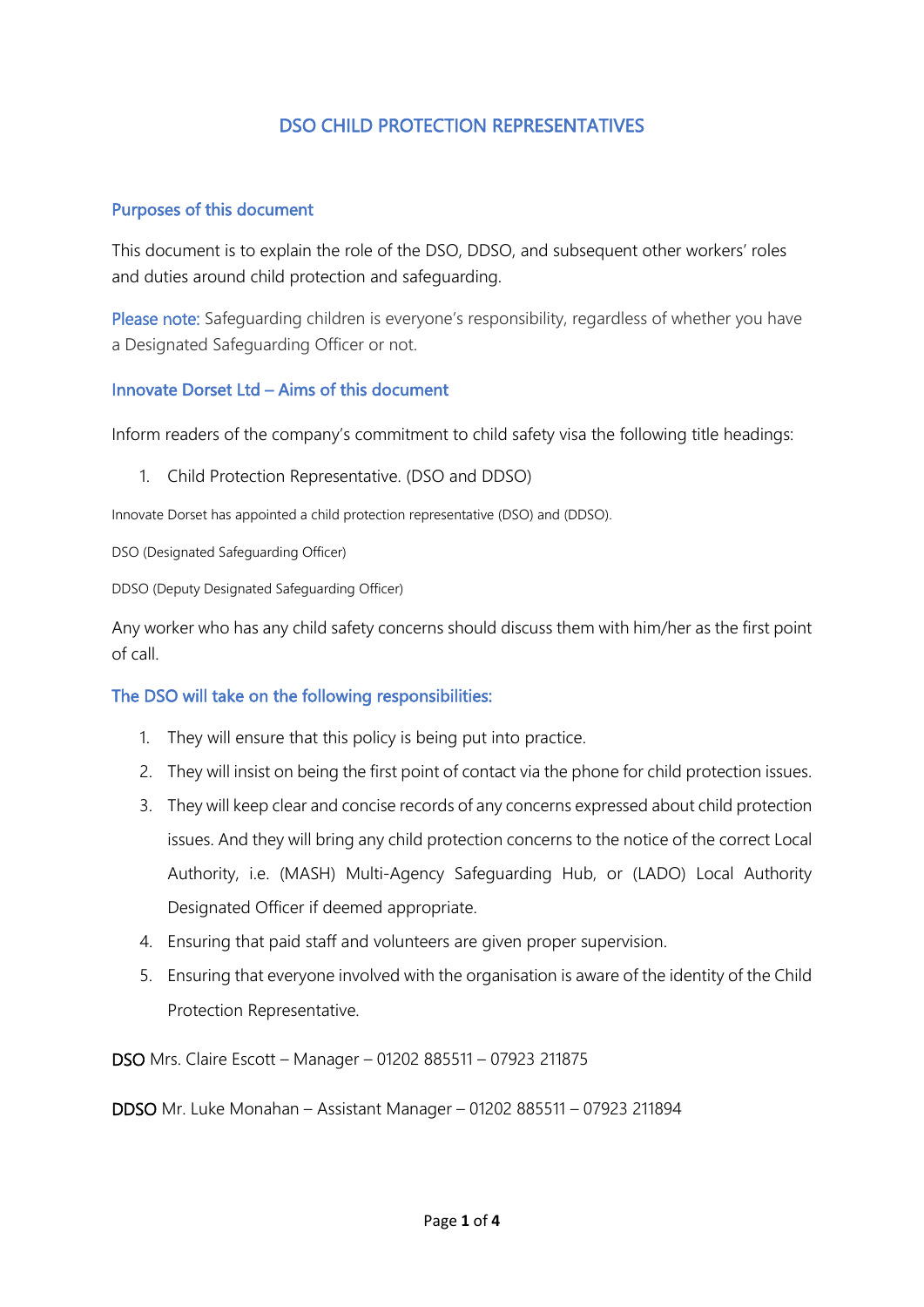## DSO CHILD PROTECTION REPRESENTATIVES

#### Purposes of this document

This document is to explain the role of the DSO, DDSO, and subsequent other workers' roles and duties around child protection and safeguarding.

Please note: Safeguarding children is everyone's responsibility, regardless of whether you have a Designated Safeguarding Officer or not.

#### Innovate Dorset Ltd – Aims of this document

Inform readers of the company's commitment to child safety visa the following title headings:

1. Child Protection Representative. (DSO and DDSO)

Innovate Dorset has appointed a child protection representative (DSO) and (DDSO).

DSO (Designated Safeguarding Officer)

DDSO (Deputy Designated Safeguarding Officer)

Any worker who has any child safety concerns should discuss them with him/her as the first point of call.

### The DSO will take on the following responsibilities:

- 1. They will ensure that this policy is being put into practice.
- 2. They will insist on being the first point of contact via the phone for child protection issues.
- 3. They will keep clear and concise records of any concerns expressed about child protection issues. And they will bring any child protection concerns to the notice of the correct Local Authority, i.e. (MASH) [Multi-Agency Safeguarding Hub,](https://www.oxfordshire.gov.uk/business/information-providers/multi-agency-safeguarding-hub#:%7E:text=MASH%20is%20a%20multi-agency%20team%20which,identifies%20risks%20to%20vulnerable%20adults%20and%20children.) or (LADO) Local Authority Designated Officer if deemed appropriate.
- 4. Ensuring that paid staff and volunteers are given proper supervision.
- 5. Ensuring that everyone involved with the organisation is aware of the identity of the Child Protection Representative.

DSO Mrs. Claire Escott – Manager – 01202 885511 – 07923 211875

DDSO Mr. Luke Monahan – Assistant Manager – 01202 885511 – 07923 211894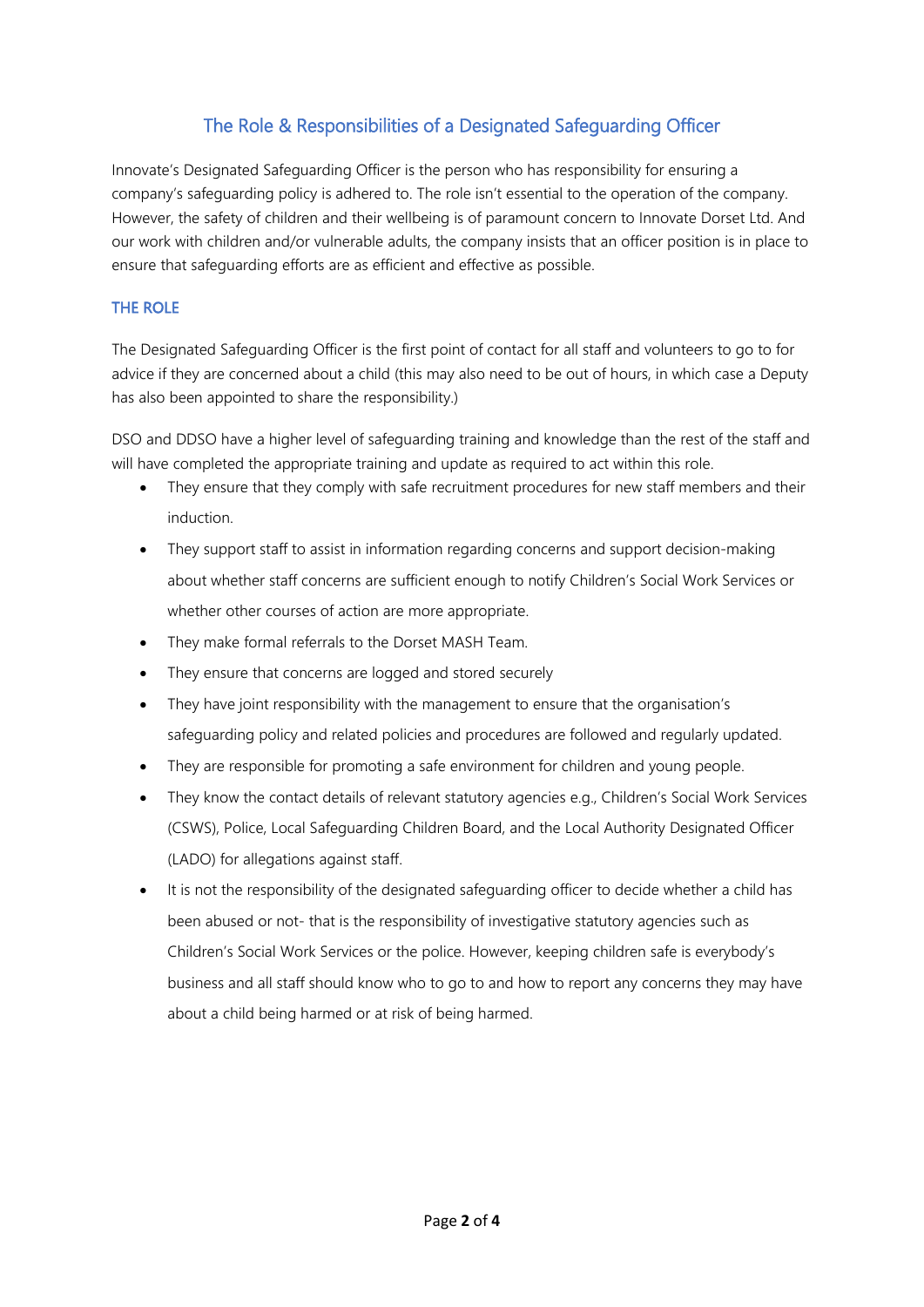## The Role & Responsibilities of a Designated Safeguarding Officer

Innovate's Designated Safeguarding Officer is the person who has responsibility for ensuring a company's safeguarding policy is adhered to. The role isn't essential to the operation of the company. However, the safety of children and their wellbeing is of paramount concern to Innovate Dorset Ltd. And our work with children and/or vulnerable adults, the company insists that an officer position is in place to ensure that safeguarding efforts are as efficient and effective as possible.

#### THE ROLE

The Designated Safeguarding Officer is the first point of contact for all staff and volunteers to go to for advice if they are concerned about a child (this may also need to be out of hours, in which case a Deputy has also been appointed to share the responsibility.)

DSO and DDSO have a higher level of safeguarding training and knowledge than the rest of the staff and will have completed the appropriate training and update as required to act within this role.

- They ensure that they comply with safe recruitment procedures for new staff members and their induction.
- They support staff to assist in information regarding concerns and support decision-making about whether staff concerns are sufficient enough to notify Children's Social Work Services or whether other courses of action are more appropriate.
- They make formal referrals to the Dorset MASH Team.
- They ensure that concerns are logged and stored securely
- They have joint responsibility with the management to ensure that the organisation's safeguarding policy and related policies and procedures are followed and regularly updated.
- They are responsible for promoting a safe environment for children and young people.
- They know the contact details of relevant statutory agencies e.g., Children's Social Work Services (CSWS), Police, Local Safeguarding Children Board, and the Local Authority Designated Officer (LADO) for allegations against staff.
- It is not the responsibility of the designated safeguarding officer to decide whether a child has been abused or not- that is the responsibility of investigative statutory agencies such as Children's Social Work Services or the police. However, keeping children safe is everybody's business and all staff should know who to go to and how to report any concerns they may have about a child being harmed or at risk of being harmed.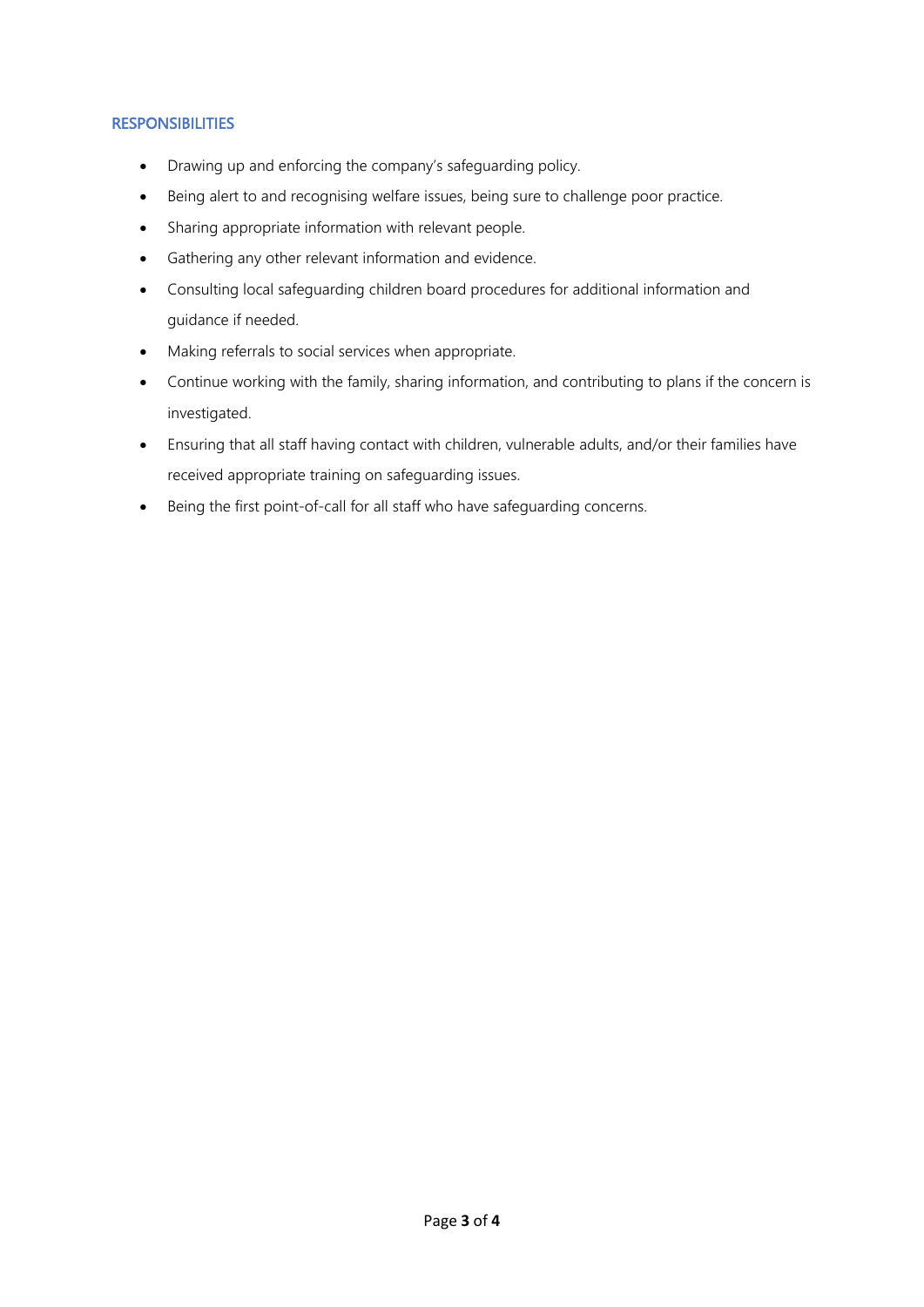#### **RESPONSIBILITIES**

- Drawing up and enforcing the company's safeguarding policy.
- Being alert to and recognising welfare issues, being sure to challenge poor practice.
- Sharing appropriate information with relevant people.
- Gathering any other relevant information and evidence.
- Consulting local safeguarding children board procedures for additional information and guidance if needed.
- Making referrals to social services when appropriate.
- Continue working with the family, sharing information, and contributing to plans if the concern is investigated.
- Ensuring that all staff having contact with children, vulnerable adults, and/or their families have received appropriate training on safeguarding issues.
- Being the first point-of-call for all staff who have safeguarding concerns.